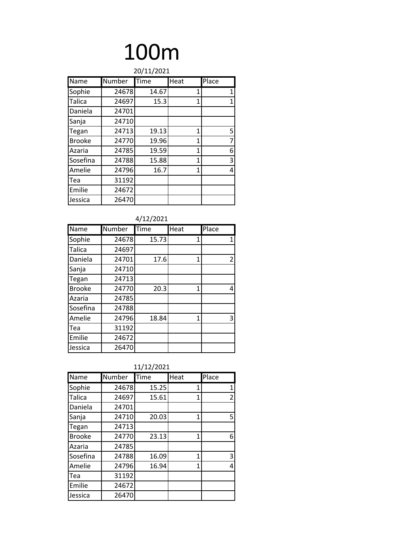|               |        | 20/11/2021  |              |       |
|---------------|--------|-------------|--------------|-------|
| Name          | Number | <b>Time</b> | Heat         | Place |
| Sophie        | 24678  | 14.67       | 1            | 1     |
| <b>Talica</b> | 24697  | 15.3        | $\mathbf{1}$ | 1     |
| Daniela       | 24701  |             |              |       |
| Sanja         | 24710  |             |              |       |
| Tegan         | 24713  | 19.13       | 1            | 5     |
| <b>Brooke</b> | 24770  | 19.96       | 1            | 7     |
| Azaria        | 24785  | 19.59       | 1            | 6     |
| Sosefina      | 24788  | 15.88       | 1            | 3     |
| Amelie        | 24796  | 16.7        | $\mathbf{1}$ | 4     |
| Tea           | 31192  |             |              |       |
| Emilie        | 24672  |             |              |       |
| Jessica       | 26470  |             |              |       |

|               |        | 4/12/2021 |      |                |
|---------------|--------|-----------|------|----------------|
| Name          | Number | Time      | Heat | Place          |
| Sophie        | 24678  | 15.73     | 1    | 1              |
| Talica        | 24697  |           |      |                |
| Daniela       | 24701  | 17.6      | 1    | $\overline{2}$ |
| Sanja         | 24710  |           |      |                |
| Tegan         | 24713  |           |      |                |
| <b>Brooke</b> | 24770  | 20.3      | 1    | 4              |
| Azaria        | 24785  |           |      |                |
| Sosefina      | 24788  |           |      |                |
| Amelie        | 24796  | 18.84     | 1    | 3              |
| Tea           | 31192  |           |      |                |
| Emilie        | 24672  |           |      |                |
| Jessica       | 26470  |           |      |                |

|               |        | 11/12/2021 |      |                |
|---------------|--------|------------|------|----------------|
| Name          | Number | Time       | Heat | Place          |
| Sophie        | 24678  | 15.25      | 1    | 1              |
| Talica        | 24697  | 15.61      | 1    | $\overline{2}$ |
| Daniela       | 24701  |            |      |                |
| Sanja         | 24710  | 20.03      | 1    | 5              |
| Tegan         | 24713  |            |      |                |
| <b>Brooke</b> | 24770  | 23.13      | 1    | 6              |
| Azaria        | 24785  |            |      |                |
| Sosefina      | 24788  | 16.09      | 1    | 3              |
| Amelie        | 24796  | 16.94      | 1    | 4              |
| Tea           | 31192  |            |      |                |
| Emilie        | 24672  |            |      |                |
| Jessica       | 26470  |            |      |                |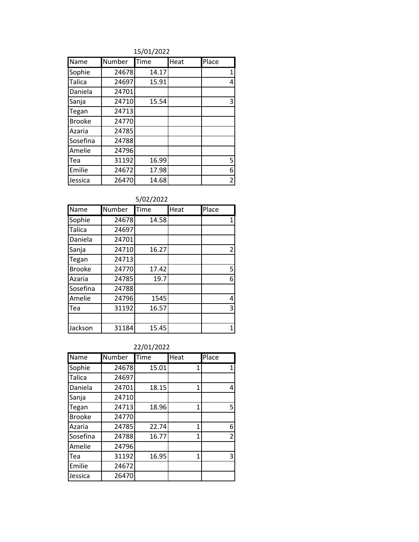15/01/2022

| Name          | Number | Time  | Heat | Place          |
|---------------|--------|-------|------|----------------|
| Sophie        | 24678  | 14.17 |      | 1              |
| <b>Talica</b> | 24697  | 15.91 |      | 4              |
| Daniela       | 24701  |       |      |                |
| Sanja         | 24710  | 15.54 |      | 3              |
| Tegan         | 24713  |       |      |                |
| <b>Brooke</b> | 24770  |       |      |                |
| Azaria        | 24785  |       |      |                |
| Sosefina      | 24788  |       |      |                |
| Amelie        | 24796  |       |      |                |
| Tea           | 31192  | 16.99 |      | 5              |
| Emilie        | 24672  | 17.98 |      | 6              |
| Jessica       | 26470  | 14.68 |      | $\overline{2}$ |

#### 5/02/2022

| Name          | Number | Time  | Heat | Place          |
|---------------|--------|-------|------|----------------|
| Sophie        | 24678  | 14.58 |      | 1              |
| <b>Talica</b> | 24697  |       |      |                |
| Daniela       | 24701  |       |      |                |
| Sanja         | 24710  | 16.27 |      | $\overline{2}$ |
| Tegan         | 24713  |       |      |                |
| <b>Brooke</b> | 24770  | 17.42 |      | 5              |
| Azaria        | 24785  | 19.7  |      | 6              |
| Sosefina      | 24788  |       |      |                |
| Amelie        | 24796  | 1545  |      | 4              |
| Tea           | 31192  | 16.57 |      | 3              |
|               |        |       |      |                |
| Jackson       | 31184  | 15.45 |      | 1              |

#### 22/01/2022

| Name          | Number | Time  | Heat | Place          |
|---------------|--------|-------|------|----------------|
| Sophie        | 24678  | 15.01 | 1    | 1              |
| <b>Talica</b> | 24697  |       |      |                |
| Daniela       | 24701  | 18.15 | 1    | 4              |
| Sanja         | 24710  |       |      |                |
| Tegan         | 24713  | 18.96 | 1    | 5              |
| <b>Brooke</b> | 24770  |       |      |                |
| Azaria        | 24785  | 22.74 | 1    | 6              |
| Sosefina      | 24788  | 16.77 | 1    | $\overline{2}$ |
| Amelie        | 24796  |       |      |                |
| Tea           | 31192  | 16.95 | 1    | 3              |
| Emilie        | 24672  |       |      |                |
| Jessica       | 26470  |       |      |                |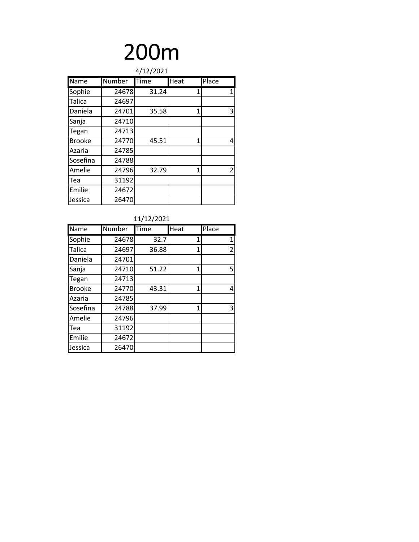|               |        | 4/12/2021 |      |       |
|---------------|--------|-----------|------|-------|
| Name          | Number | Time      | Heat | Place |
| Sophie        | 24678  | 31.24     | 1    | 1     |
| Talica        | 24697  |           |      |       |
| Daniela       | 24701  | 35.58     | 1    | 3     |
| Sanja         | 24710  |           |      |       |
| Tegan         | 24713  |           |      |       |
| <b>Brooke</b> | 24770  | 45.51     | 1    | 4     |
| Azaria        | 24785  |           |      |       |
| Sosefina      | 24788  |           |      |       |
| Amelie        | 24796  | 32.79     | 1    | 2     |
| Tea           | 31192  |           |      |       |
| Emilie        | 24672  |           |      |       |
| Jessica       | 26470  |           |      |       |

|               |        | 11/12/2021 |              |                |
|---------------|--------|------------|--------------|----------------|
| <b>Name</b>   | Number | Time       | Heat         | Place          |
| Sophie        | 24678  | 32.7       | 1            | $\mathbf{1}$   |
| Talica        | 24697  | 36.88      | 1            | $\overline{2}$ |
| Daniela       | 24701  |            |              |                |
| Sanja         | 24710  | 51.22      | $\mathbf{1}$ | 5              |
| Tegan         | 24713  |            |              |                |
| <b>Brooke</b> | 24770  | 43.31      | 1            | 4              |
| Azaria        | 24785  |            |              |                |
| Sosefina      | 24788  | 37.99      | 1            | 3              |
| Amelie        | 24796  |            |              |                |
| Tea           | 31192  |            |              |                |
| Emilie        | 24672  |            |              |                |
| Jessica       | 26470  |            |              |                |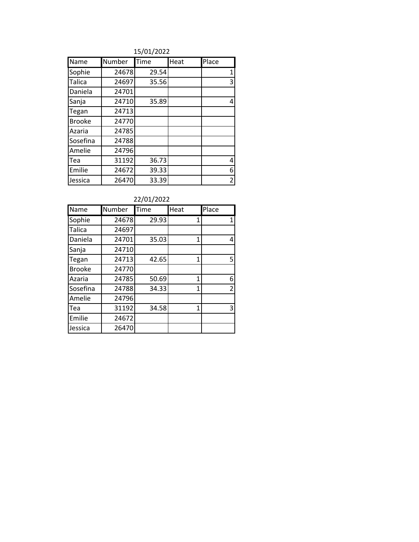15/01/2022

| Name          | Number | Time  | Heat | Place          |
|---------------|--------|-------|------|----------------|
| Sophie        | 24678  | 29.54 |      | 1              |
| Talica        | 24697  | 35.56 |      | 3              |
| Daniela       | 24701  |       |      |                |
| Sanja         | 24710  | 35.89 |      | 4              |
| Tegan         | 24713  |       |      |                |
| <b>Brooke</b> | 24770  |       |      |                |
| Azaria        | 24785  |       |      |                |
| Sosefina      | 24788  |       |      |                |
| Amelie        | 24796  |       |      |                |
| Tea           | 31192  | 36.73 |      | 4              |
| Emilie        | 24672  | 39.33 |      | 6              |
| Jessica       | 26470  | 33.39 |      | $\overline{2}$ |

#### 22/01/2022

| Name          | Number | Time  | Heat           | Place |
|---------------|--------|-------|----------------|-------|
| Sophie        | 24678  | 29.93 | 1              |       |
| <b>Talica</b> | 24697  |       |                |       |
| Daniela       | 24701  | 35.03 | 1              | 4     |
| Sanja         | 24710  |       |                |       |
| Tegan         | 24713  | 42.65 | 1              | 5     |
| <b>Brooke</b> | 24770  |       |                |       |
| Azaria        | 24785  | 50.69 | 1              | 6     |
| Sosefina      | 24788  | 34.33 | $\overline{1}$ | 2     |
| Amelie        | 24796  |       |                |       |
| Tea           | 31192  | 34.58 | $\overline{1}$ | 3     |
| Emilie        | 24672  |       |                |       |
| Jessica       | 26470  |       |                |       |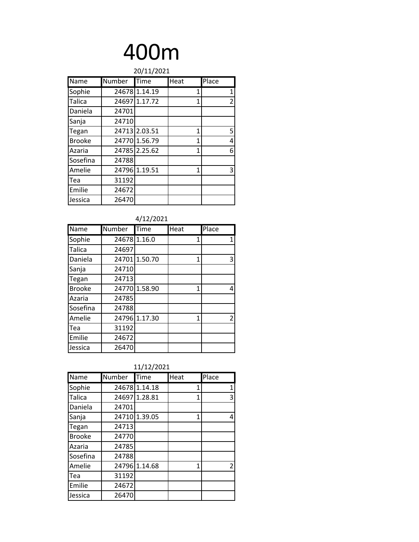|               |        | 20/11/2021    |              |       |
|---------------|--------|---------------|--------------|-------|
| Name          | Number | Time          | Heat         | Place |
| Sophie        |        | 24678 1.14.19 | 1            | 1     |
| Talica        |        | 24697 1.17.72 | $\mathbf{1}$ | 2     |
| Daniela       | 24701  |               |              |       |
| Sanja         | 24710  |               |              |       |
| Tegan         |        | 24713 2.03.51 | 1            | 5     |
| <b>Brooke</b> |        | 24770 1.56.79 | 1            | 4     |
| Azaria        |        | 24785 2.25.62 | 1            | 6     |
| Sosefina      | 24788  |               |              |       |
| Amelie        |        | 24796 1.19.51 | 1            | 3     |
| Tea           | 31192  |               |              |       |
| Emilie        | 24672  |               |              |       |
| Jessica       | 26470  |               |              |       |

| 4/12/2021 |
|-----------|
|           |

| Name          | <b>Number</b> | Time          | Heat | Place |
|---------------|---------------|---------------|------|-------|
| Sophie        | 24678         | 1.16.0        | 1    | 1     |
| <b>Talica</b> | 24697         |               |      |       |
| Daniela       |               | 24701 1.50.70 | 1    | 3     |
| Sanja         | 24710         |               |      |       |
| Tegan         | 24713         |               |      |       |
| <b>Brooke</b> |               | 24770 1.58.90 | 1    | 4     |
| Azaria        | 24785         |               |      |       |
| Sosefina      | 24788         |               |      |       |
| Amelie        |               | 24796 1.17.30 | 1    | 2     |
| Tea           | 31192         |               |      |       |
| Emilie        | 24672         |               |      |       |
| Jessica       | 26470         |               |      |       |

| 11/12/2021 |
|------------|
|------------|

| Name          | Number | Time          | Heat | Place          |
|---------------|--------|---------------|------|----------------|
| Sophie        |        | 2467811.14.18 | 1    | 1              |
| <b>Talica</b> |        | 24697 1.28.81 | 1    | 3              |
| Daniela       | 24701  |               |      |                |
| Sanja         |        | 24710 1.39.05 | 1    | 4              |
| Tegan         | 24713  |               |      |                |
| <b>Brooke</b> | 24770  |               |      |                |
| Azaria        | 24785  |               |      |                |
| Sosefina      | 24788  |               |      |                |
| Amelie        |        | 24796 1.14.68 | 1    | $\overline{2}$ |
| Tea           | 31192  |               |      |                |
| Emilie        | 24672  |               |      |                |
| Jessica       | 26470  |               |      |                |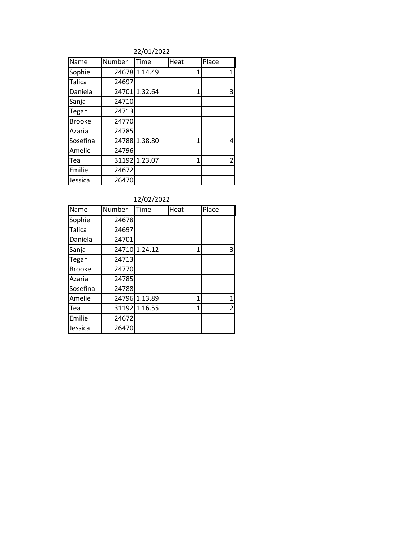#### 22/01/2022

| Name          | Number | Time          | Heat | Place |
|---------------|--------|---------------|------|-------|
| Sophie        |        | 24678 1.14.49 | 1    | 1     |
| Talica        | 24697  |               |      |       |
| Daniela       |        | 24701 1.32.64 | 1    | 3     |
| Sanja         | 24710  |               |      |       |
| Tegan         | 24713  |               |      |       |
| <b>Brooke</b> | 24770  |               |      |       |
| Azaria        | 24785  |               |      |       |
| Sosefina      | 24788  | 1.38.80       | 1    | 4     |
| Amelie        | 24796  |               |      |       |
| Tea           |        | 31192 1.23.07 | 1    | 2     |
| Emilie        | 24672  |               |      |       |
| Jessica       | 26470  |               |      |       |

#### 12/02/2022

| Name          | Number | Time          | Heat | Place |
|---------------|--------|---------------|------|-------|
| Sophie        | 24678  |               |      |       |
| Talica        | 24697  |               |      |       |
| Daniela       | 24701  |               |      |       |
| Sanja         |        | 24710 1.24.12 | 1    | 3     |
| Tegan         | 24713  |               |      |       |
| <b>Brooke</b> | 24770  |               |      |       |
| Azaria        | 24785  |               |      |       |
| Sosefina      | 24788  |               |      |       |
| Amelie        | 24796  | 1.13.89       | 1    | 1     |
| Tea           |        | 31192 1.16.55 | 1    | 2     |
| Emilie        | 24672  |               |      |       |
| Jessica       | 26470  |               |      |       |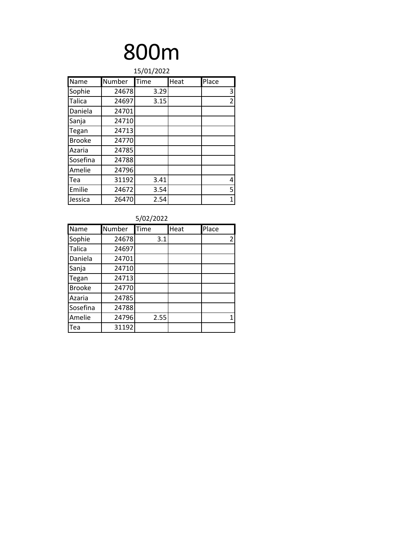| 15/01/2022    |        |      |      |                |  |  |  |
|---------------|--------|------|------|----------------|--|--|--|
| Name          | Number | Time | Heat | Place          |  |  |  |
| Sophie        | 24678  | 3.29 |      | 3              |  |  |  |
| Talica        | 24697  | 3.15 |      | $\overline{2}$ |  |  |  |
| Daniela       | 24701  |      |      |                |  |  |  |
| Sanja         | 24710  |      |      |                |  |  |  |
| Tegan         | 24713  |      |      |                |  |  |  |
| <b>Brooke</b> | 24770  |      |      |                |  |  |  |
| Azaria        | 24785  |      |      |                |  |  |  |
| Sosefina      | 24788  |      |      |                |  |  |  |
| Amelie        | 24796  |      |      |                |  |  |  |
| Tea           | 31192  | 3.41 |      | 4              |  |  |  |
| Emilie        | 24672  | 3.54 |      | 5              |  |  |  |
| Jessica       | 26470  | 2.54 |      | 1              |  |  |  |

| 5/02/2022     |        |      |      |       |  |  |  |
|---------------|--------|------|------|-------|--|--|--|
| Name          | Number | Time | Heat | Place |  |  |  |
| Sophie        | 24678  | 3.1  |      | 2     |  |  |  |
| <b>Talica</b> | 24697  |      |      |       |  |  |  |
| Daniela       | 24701  |      |      |       |  |  |  |
| Sanja         | 24710  |      |      |       |  |  |  |
| Tegan         | 24713  |      |      |       |  |  |  |
| <b>Brooke</b> | 24770  |      |      |       |  |  |  |
| Azaria        | 24785  |      |      |       |  |  |  |
| Sosefina      | 24788  |      |      |       |  |  |  |
| Amelie        | 24796  | 2.55 |      | 1     |  |  |  |
| <b>I</b> Tea  | 31192  |      |      |       |  |  |  |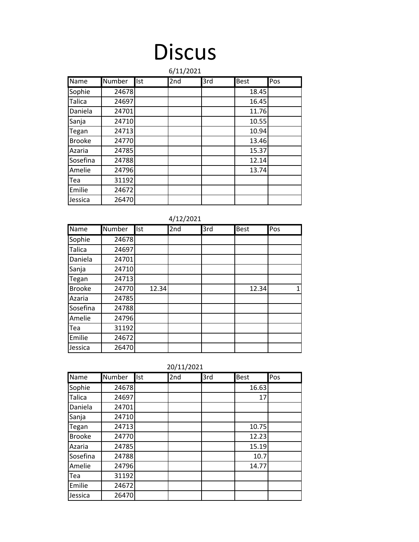### **Discus**

|               | 6/11/2021<br><b>Number</b><br>Pos |      |     |     |             |  |  |  |  |
|---------------|-----------------------------------|------|-----|-----|-------------|--|--|--|--|
| Name          |                                   | llst | 2nd | 3rd | <b>Best</b> |  |  |  |  |
| Sophie        | 24678                             |      |     |     | 18.45       |  |  |  |  |
| Talica        | 24697                             |      |     |     | 16.45       |  |  |  |  |
| Daniela       | 24701                             |      |     |     | 11.76       |  |  |  |  |
| Sanja         | 24710                             |      |     |     | 10.55       |  |  |  |  |
| Tegan         | 24713                             |      |     |     | 10.94       |  |  |  |  |
| <b>Brooke</b> | 24770                             |      |     |     | 13.46       |  |  |  |  |
| Azaria        | 24785                             |      |     |     | 15.37       |  |  |  |  |
| Sosefina      | 24788                             |      |     |     | 12.14       |  |  |  |  |
| Amelie        | 24796                             |      |     |     | 13.74       |  |  |  |  |
| Tea           | 31192                             |      |     |     |             |  |  |  |  |
| Emilie        | 24672                             |      |     |     |             |  |  |  |  |
| Jessica       | 26470                             |      |     |     |             |  |  |  |  |

| 4/12/2021     |        |       |     |     |             |     |  |  |
|---------------|--------|-------|-----|-----|-------------|-----|--|--|
| Name          | Number | Ist   | 2nd | 3rd | <b>Best</b> | Pos |  |  |
| Sophie        | 24678  |       |     |     |             |     |  |  |
| Talica        | 24697  |       |     |     |             |     |  |  |
| Daniela       | 24701  |       |     |     |             |     |  |  |
| Sanja         | 24710  |       |     |     |             |     |  |  |
| Tegan         | 24713  |       |     |     |             |     |  |  |
| <b>Brooke</b> | 24770  | 12.34 |     |     | 12.34       | 1   |  |  |
| Azaria        | 24785  |       |     |     |             |     |  |  |
| Sosefina      | 24788  |       |     |     |             |     |  |  |
| Amelie        | 24796  |       |     |     |             |     |  |  |
| Tea           | 31192  |       |     |     |             |     |  |  |
| Emilie        | 24672  |       |     |     |             |     |  |  |
| Jessica       | 26470  |       |     |     |             |     |  |  |

|               | ZU/ 11/ ZUZ 1 |     |     |     |             |     |  |
|---------------|---------------|-----|-----|-----|-------------|-----|--|
| <b>Name</b>   | Number        | Ist | 2nd | 3rd | <b>Best</b> | Pos |  |
| Sophie        | 24678         |     |     |     | 16.63       |     |  |
| <b>Talica</b> | 24697         |     |     |     | 17          |     |  |
| Daniela       | 24701         |     |     |     |             |     |  |
| Sanja         | 24710         |     |     |     |             |     |  |
| Tegan         | 24713         |     |     |     | 10.75       |     |  |
| <b>Brooke</b> | 24770         |     |     |     | 12.23       |     |  |
| Azaria        | 24785         |     |     |     | 15.19       |     |  |
| Sosefina      | 24788         |     |     |     | 10.7        |     |  |
| Amelie        | 24796         |     |     |     | 14.77       |     |  |
| Tea           | 31192         |     |     |     |             |     |  |
| Emilie        | 24672         |     |     |     |             |     |  |
| Jessica       | 26470         |     |     |     |             |     |  |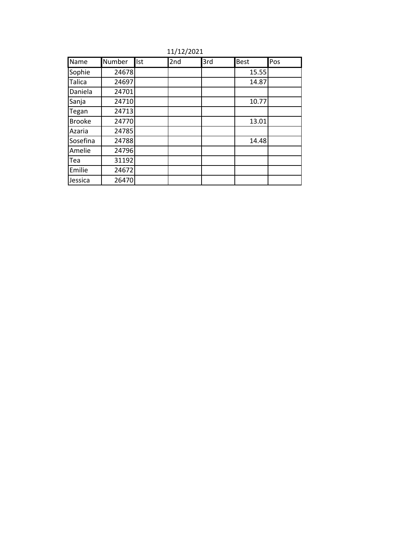11/12/2021

| Name          | Number | Ist | 2nd | 3rd | <b>Best</b> | Pos |
|---------------|--------|-----|-----|-----|-------------|-----|
| Sophie        | 24678  |     |     |     | 15.55       |     |
| <b>Talica</b> | 24697  |     |     |     | 14.87       |     |
| Daniela       | 24701  |     |     |     |             |     |
| Sanja         | 24710  |     |     |     | 10.77       |     |
| Tegan         | 24713  |     |     |     |             |     |
| <b>Brooke</b> | 24770  |     |     |     | 13.01       |     |
| Azaria        | 24785  |     |     |     |             |     |
| Sosefina      | 24788  |     |     |     | 14.48       |     |
| Amelie        | 24796  |     |     |     |             |     |
| Tea           | 31192  |     |     |     |             |     |
| Emilie        | 24672  |     |     |     |             |     |
| Jessica       | 26470  |     |     |     |             |     |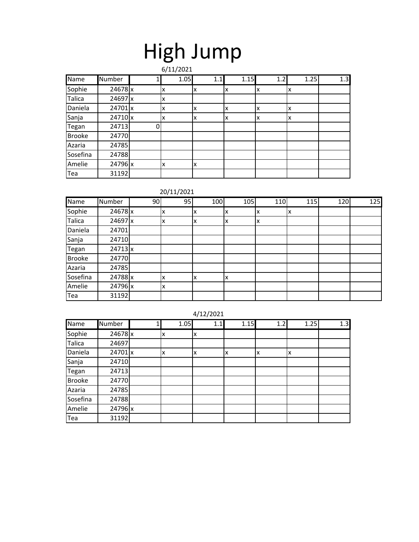## High Jump

|               |         |   | 6/11/2021 |     |      |     |      |     |
|---------------|---------|---|-----------|-----|------|-----|------|-----|
| <b>Name</b>   | Number  |   | 1.05      | 1.1 | 1.15 | 1.2 | 1.25 | 1.3 |
| Sophie        | 24678 x |   | x         | x   | X    | ΙX  | x    |     |
| <b>Talica</b> | 24697 x |   | X         |     |      |     |      |     |
| Daniela       | 24701x  |   | x         | x   | ΙX   | x   | x    |     |
| Sanja         | 24710 x |   | x         | x   | X    | x   | x    |     |
| Tegan         | 24713   | 0 |           |     |      |     |      |     |
| <b>Brooke</b> | 24770   |   |           |     |      |     |      |     |
| Azaria        | 24785   |   |           |     |      |     |      |     |
| Sosefina      | 24788   |   |           |     |      |     |      |     |
| Amelie        | 24796 x |   | X         | Ιx  |      |     |      |     |
| Tea           | 31192   |   |           |     |      |     |      |     |

#### 20/11/2021

| Name          | Number         | 90 | 95 | 100 | 105 | 110 | 115 | 120 | 125 |
|---------------|----------------|----|----|-----|-----|-----|-----|-----|-----|
| Sophie        | 24678 x        |    | x  | Iχ  | x   |     | x   |     |     |
| Talica        | 24697 x        |    |    | Iχ  | x   |     |     |     |     |
| Daniela       | 24701          |    |    |     |     |     |     |     |     |
| Sanja         | 24710          |    |    |     |     |     |     |     |     |
| Tegan         | $24713 \times$ |    |    |     |     |     |     |     |     |
| <b>Brooke</b> | 24770          |    |    |     |     |     |     |     |     |
| Azaria        | 24785          |    |    |     |     |     |     |     |     |
| Sosefina      | 24788 x        |    |    | Iχ  | x   |     |     |     |     |
| Amelie        | 24796 x        |    | x  |     |     |     |     |     |     |
| Tea           | 31192          |    |    |     |     |     |     |     |     |

#### 4/12/2021

| <b>Name</b>   | Number    | 1.05 | 1.1 | 1.15 | 1.2 | 1.25 | 1.3 |
|---------------|-----------|------|-----|------|-----|------|-----|
| Sophie        | 24678 x   | x    | x   |      |     |      |     |
| <b>Talica</b> | 24697     |      |     |      |     |      |     |
| Daniela       | $24701$ x | X    | x   | x    | x   | x    |     |
| Sanja         | 24710     |      |     |      |     |      |     |
| Tegan         | 24713     |      |     |      |     |      |     |
| <b>Brooke</b> | 24770     |      |     |      |     |      |     |
| Azaria        | 24785     |      |     |      |     |      |     |
| Sosefina      | 24788     |      |     |      |     |      |     |
| Amelie        | 24796 x   |      |     |      |     |      |     |
| Tea           | 31192     |      |     |      |     |      |     |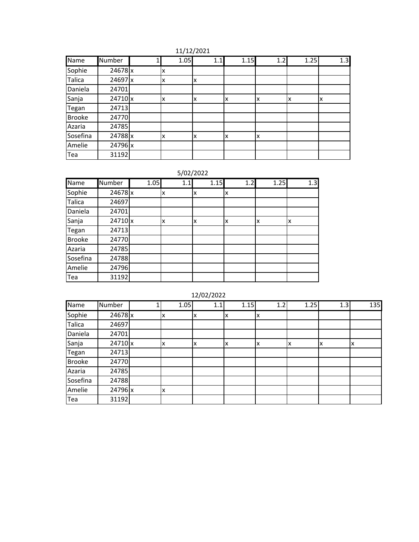| 11/12/2021 |
|------------|
|------------|

| Name          | Number    | 1 | 1.05 | 1.1 | 1.15 | 1.2 | 1.25 | 1.3 |
|---------------|-----------|---|------|-----|------|-----|------|-----|
| Sophie        | 24678x    |   | х    |     |      |     |      |     |
| Talica        | 24697 x   |   | x    | x   |      |     |      |     |
| Daniela       | 24701     |   |      |     |      |     |      |     |
| Sanja         | $24710$ x |   | x    | x   | x    | x   | ΙX   | х   |
| Tegan         | 24713     |   |      |     |      |     |      |     |
| <b>Brooke</b> | 24770     |   |      |     |      |     |      |     |
| Azaria        | 24785     |   |      |     |      |     |      |     |
| Sosefina      | 24788 x   |   | x    | x   | X    | X   |      |     |
| Amelie        | 24796 x   |   |      |     |      |     |      |     |
| Tea           | 31192     |   |      |     |      |     |      |     |

#### 5/02/2022

| Name          | Number  | 1.05 | 1.1 | 1.15 | 1.2 | 1.25 | 1.3 |
|---------------|---------|------|-----|------|-----|------|-----|
| Sophie        | 24678 x |      | X   | X    | x   |      |     |
| Talica        | 24697   |      |     |      |     |      |     |
| Daniela       | 24701   |      |     |      |     |      |     |
| Sanja         | 24710 x |      | x   | X    | x   | x    | lχ  |
| Tegan         | 24713   |      |     |      |     |      |     |
| <b>Brooke</b> | 24770   |      |     |      |     |      |     |
| Azaria        | 24785   |      |     |      |     |      |     |
| Sosefina      | 24788   |      |     |      |     |      |     |
| Amelie        | 24796   |      |     |      |     |      |     |
| Tea           | 31192   |      |     |      |     |      |     |

#### 12/02/2022

| Name          | Number  | 1.05 | 1.1 | 1.15 | 1.2 | 1.25 | 1.3 | 135 |
|---------------|---------|------|-----|------|-----|------|-----|-----|
| Sophie        | 24678 x | x    | Iχ  | x    | ΙX  |      |     |     |
| Talica        | 24697   |      |     |      |     |      |     |     |
| Daniela       | 24701   |      |     |      |     |      |     |     |
| Sanja         | 24710 x | x    | ΙX  | x    | ΙX  | x    | X   | x   |
| Tegan         | 24713   |      |     |      |     |      |     |     |
| <b>Brooke</b> | 24770   |      |     |      |     |      |     |     |
| Azaria        | 24785   |      |     |      |     |      |     |     |
| Sosefina      | 24788   |      |     |      |     |      |     |     |
| Amelie        | 24796 x | x    |     |      |     |      |     |     |
| Tea           | 31192   |      |     |      |     |      |     |     |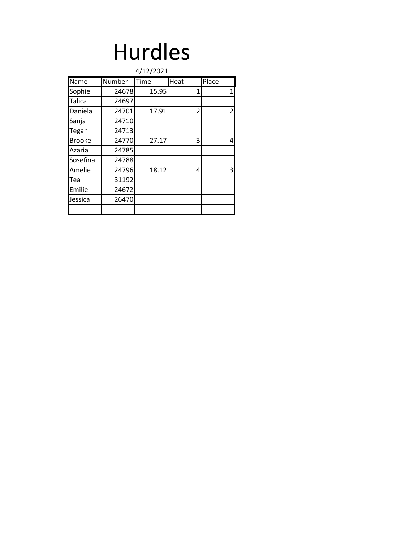### Hurdles

|               |        | 4/12/2021 |      |                |
|---------------|--------|-----------|------|----------------|
| Name          | Number | Time      | Heat | Place          |
| Sophie        | 24678  | 15.95     | 1    | 1              |
| <b>Talica</b> | 24697  |           |      |                |
| Daniela       | 24701  | 17.91     | 2    | $\overline{2}$ |
| Sanja         | 24710  |           |      |                |
| Tegan         | 24713  |           |      |                |
| <b>Brooke</b> | 24770  | 27.17     | 3    | 4              |
| Azaria        | 24785  |           |      |                |
| Sosefina      | 24788  |           |      |                |
| Amelie        | 24796  | 18.12     | 4    | 3              |
| Tea           | 31192  |           |      |                |
| Emilie        | 24672  |           |      |                |
| Jessica       | 26470  |           |      |                |
|               |        |           |      |                |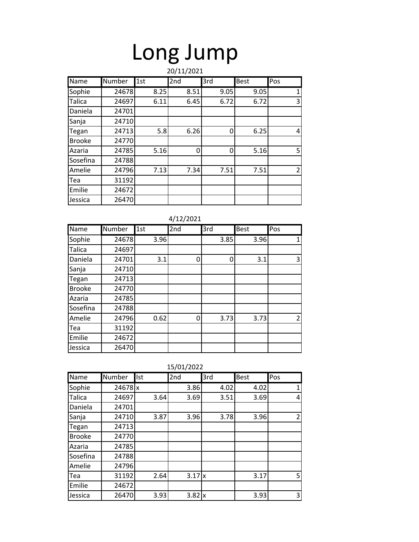# Long Jump

|               | 20/11/2021 |      |                 |      |      |                |  |  |  |  |
|---------------|------------|------|-----------------|------|------|----------------|--|--|--|--|
| Name          | Number     | 1st  | 2 <sub>nd</sub> | 3rd  | Best | Pos            |  |  |  |  |
| Sophie        | 24678      | 8.25 | 8.51            | 9.05 | 9.05 | $\mathbf{1}$   |  |  |  |  |
| <b>Talica</b> | 24697      | 6.11 | 6.45            | 6.72 | 6.72 | 3              |  |  |  |  |
| Daniela       | 24701      |      |                 |      |      |                |  |  |  |  |
| Sanja         | 24710      |      |                 |      |      |                |  |  |  |  |
| Tegan         | 24713      | 5.8  | 6.26            | 0    | 6.25 | 4              |  |  |  |  |
| <b>Brooke</b> | 24770      |      |                 |      |      |                |  |  |  |  |
| Azaria        | 24785      | 5.16 | 0               | 0    | 5.16 | 5              |  |  |  |  |
| Sosefina      | 24788      |      |                 |      |      |                |  |  |  |  |
| Amelie        | 24796      | 7.13 | 7.34            | 7.51 | 7.51 | $\overline{2}$ |  |  |  |  |
| Tea           | 31192      |      |                 |      |      |                |  |  |  |  |
| Emilie        | 24672      |      |                 |      |      |                |  |  |  |  |
| Jessica       | 26470      |      |                 |      |      |                |  |  |  |  |

|               | 4/12/2021 |      |     |      |      |                |  |  |  |  |
|---------------|-----------|------|-----|------|------|----------------|--|--|--|--|
| <b>Name</b>   | Number    | 1st  | 2nd | 3rd  | Best | Pos            |  |  |  |  |
| Sophie        | 24678     | 3.96 |     | 3.85 | 3.96 | $\mathbf{1}$   |  |  |  |  |
| Talica        | 24697     |      |     |      |      |                |  |  |  |  |
| Daniela       | 24701     | 3.1  | 0   | 0    | 3.1  | 3              |  |  |  |  |
| Sanja         | 24710     |      |     |      |      |                |  |  |  |  |
| Tegan         | 24713     |      |     |      |      |                |  |  |  |  |
| <b>Brooke</b> | 24770     |      |     |      |      |                |  |  |  |  |
| Azaria        | 24785     |      |     |      |      |                |  |  |  |  |
| Sosefina      | 24788     |      |     |      |      |                |  |  |  |  |
| Amelie        | 24796     | 0.62 | 0   | 3.73 | 3.73 | $\overline{2}$ |  |  |  |  |
| Tea           | 31192     |      |     |      |      |                |  |  |  |  |
| Emilie        | 24672     |      |     |      |      |                |  |  |  |  |
| Jessica       | 26470     |      |     |      |      |                |  |  |  |  |

|               | 15/01/2022 |      |               |      |             |                |  |  |  |  |
|---------------|------------|------|---------------|------|-------------|----------------|--|--|--|--|
| Name          | Number     | Ist  | 2nd           | 3rd  | <b>Best</b> | Pos            |  |  |  |  |
| Sophie        | 24678 x    |      | 3.86          | 4.02 | 4.02        | $\mathbf{1}$   |  |  |  |  |
| <b>Talica</b> | 24697      | 3.64 | 3.69          | 3.51 | 3.69        | 4              |  |  |  |  |
| Daniela       | 24701      |      |               |      |             |                |  |  |  |  |
| Sanja         | 24710      | 3.87 | 3.96          | 3.78 | 3.96        | $\overline{2}$ |  |  |  |  |
| Tegan         | 24713      |      |               |      |             |                |  |  |  |  |
| <b>Brooke</b> | 24770      |      |               |      |             |                |  |  |  |  |
| Azaria        | 24785      |      |               |      |             |                |  |  |  |  |
| Sosefina      | 24788      |      |               |      |             |                |  |  |  |  |
| Amelie        | 24796      |      |               |      |             |                |  |  |  |  |
| Tea           | 31192      | 2.64 | $3.17$ x      |      | 3.17        | 5              |  |  |  |  |
| Emilie        | 24672      |      |               |      |             |                |  |  |  |  |
| Jessica       | 26470      | 3.93 | $3.82 \times$ |      | 3.93        | 3              |  |  |  |  |

| '01/2022 |  |  |
|----------|--|--|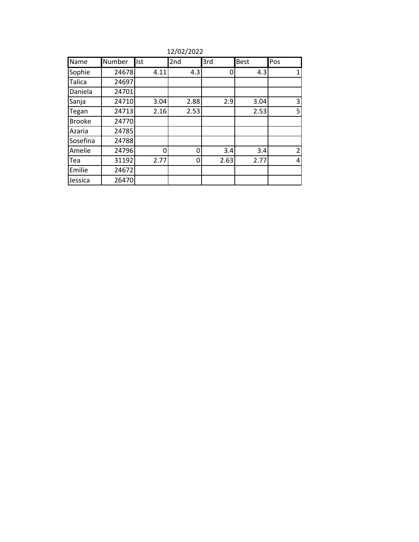| 12/02/2022 |  |
|------------|--|
|------------|--|

| Name          | Number | Ist  | 2 <sub>nd</sub> | 3rd  | <b>Best</b> | Pos            |
|---------------|--------|------|-----------------|------|-------------|----------------|
| Sophie        | 24678  | 4.11 | 4.3             | 0    | 4.3         | 1              |
| <b>Talica</b> | 24697  |      |                 |      |             |                |
| Daniela       | 24701  |      |                 |      |             |                |
| Sanja         | 24710  | 3.04 | 2.88            | 2.9  | 3.04        | 3              |
| Tegan         | 24713  | 2.16 | 2.53            |      | 2.53        | 5              |
| <b>Brooke</b> | 24770  |      |                 |      |             |                |
| Azaria        | 24785  |      |                 |      |             |                |
| Sosefina      | 24788  |      |                 |      |             |                |
| Amelie        | 24796  | ŋ    | 0               | 3.4  | 3.4         | 2              |
| Tea           | 31192  | 2.77 | 0               | 2.63 | 2.77        | $\overline{4}$ |
| Emilie        | 24672  |      |                 |      |             |                |
| Jessica       | 26470  |      |                 |      |             |                |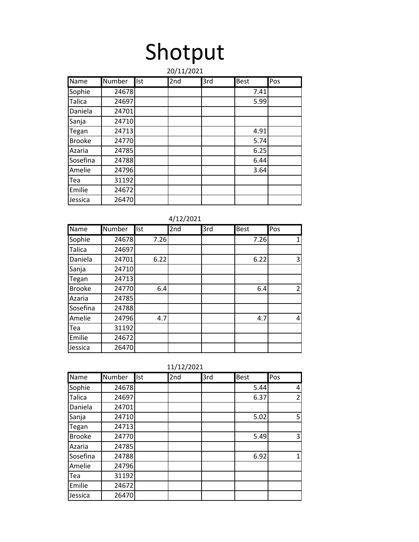# Shotput

|               | 20/11/2021    |     |                 |     |             |     |  |  |  |
|---------------|---------------|-----|-----------------|-----|-------------|-----|--|--|--|
| Name          | <b>Number</b> | Ist | 2 <sub>nd</sub> | 3rd | <b>Best</b> | Pos |  |  |  |
| Sophie        | 24678         |     |                 |     | 7.41        |     |  |  |  |
| Talica        | 24697         |     |                 |     | 5.99        |     |  |  |  |
| Daniela       | 24701         |     |                 |     |             |     |  |  |  |
| Sanja         | 24710         |     |                 |     |             |     |  |  |  |
| Tegan         | 24713         |     |                 |     | 4.91        |     |  |  |  |
| <b>Brooke</b> | 24770         |     |                 |     | 5.74        |     |  |  |  |
| Azaria        | 24785         |     |                 |     | 6.25        |     |  |  |  |
| Sosefina      | 24788         |     |                 |     | 6.44        |     |  |  |  |
| Amelie        | 24796         |     |                 |     | 3.64        |     |  |  |  |
| Tea           | 31192         |     |                 |     |             |     |  |  |  |
| Emilie        | 24672         |     |                 |     |             |     |  |  |  |
| Jessica       | 26470         |     |                 |     |             |     |  |  |  |

|               | 4/12/2021 |      |     |     |             |     |  |  |  |
|---------------|-----------|------|-----|-----|-------------|-----|--|--|--|
| Name          | Number    | Ist  | 2nd | 3rd | <b>Best</b> | Pos |  |  |  |
| Sophie        | 24678     | 7.26 |     |     | 7.26        | 1   |  |  |  |
| <b>Talica</b> | 24697     |      |     |     |             |     |  |  |  |
| Daniela       | 24701     | 6.22 |     |     | 6.22        | 3   |  |  |  |
| Sanja         | 24710     |      |     |     |             |     |  |  |  |
| Tegan         | 24713     |      |     |     |             |     |  |  |  |
| <b>Brooke</b> | 24770     | 6.4  |     |     | 6.4         | 2   |  |  |  |
| Azaria        | 24785     |      |     |     |             |     |  |  |  |
| Sosefina      | 24788     |      |     |     |             |     |  |  |  |
| Amelie        | 24796     | 4.7  |     |     | 4.7         | 4   |  |  |  |
| Tea           | 31192     |      |     |     |             |     |  |  |  |
| Emilie        | 24672     |      |     |     |             |     |  |  |  |
| Jessica       | 26470     |      |     |     |             |     |  |  |  |

|               | 11/12/2021 |            |     |     |             |                |  |  |
|---------------|------------|------------|-----|-----|-------------|----------------|--|--|
| Name          | Number     | <b>Ist</b> | 2nd | 3rd | <b>Best</b> | Pos            |  |  |
| Sophie        | 24678      |            |     |     | 5.44        | 4              |  |  |
| <b>Talica</b> | 24697      |            |     |     | 6.37        | $\overline{2}$ |  |  |
| Daniela       | 24701      |            |     |     |             |                |  |  |
| Sanja         | 24710      |            |     |     | 5.02        | 5              |  |  |
| Tegan         | 24713      |            |     |     |             |                |  |  |
| <b>Brooke</b> | 24770      |            |     |     | 5.49        | 3              |  |  |
| Azaria        | 24785      |            |     |     |             |                |  |  |
| Sosefina      | 24788      |            |     |     | 6.92        | $\mathbf{1}$   |  |  |
| Amelie        | 24796      |            |     |     |             |                |  |  |
| Tea           | 31192      |            |     |     |             |                |  |  |
| Emilie        | 24672      |            |     |     |             |                |  |  |
| Jessica       | 26470      |            |     |     |             |                |  |  |

| 11/12/2021 |  |
|------------|--|
|            |  |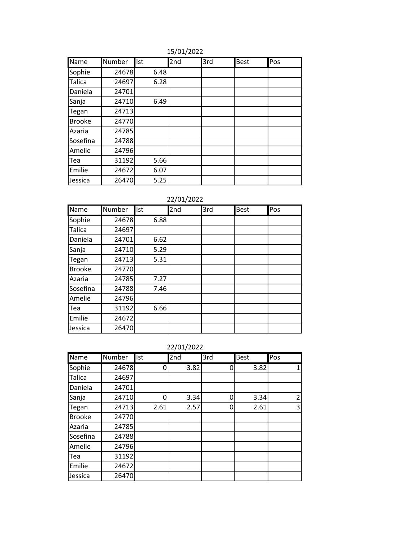| Name          | Number | <b>Ist</b> | 2nd | 3rd | Best | Pos |
|---------------|--------|------------|-----|-----|------|-----|
| Sophie        | 24678  | 6.48       |     |     |      |     |
| Talica        | 24697  | 6.28       |     |     |      |     |
| Daniela       | 24701  |            |     |     |      |     |
| Sanja         | 24710  | 6.49       |     |     |      |     |
| Tegan         | 24713  |            |     |     |      |     |
| <b>Brooke</b> | 24770  |            |     |     |      |     |
| Azaria        | 24785  |            |     |     |      |     |
| Sosefina      | 24788  |            |     |     |      |     |
| Amelie        | 24796  |            |     |     |      |     |
| Tea           | 31192  | 5.66       |     |     |      |     |
| Emilie        | 24672  | 6.07       |     |     |      |     |
| Jessica       | 26470  | 5.25       |     |     |      |     |

#### 15/01/2022

22/01/2022

| Name          | Number | Ist  | 2nd | 3rd | Best | Pos |
|---------------|--------|------|-----|-----|------|-----|
| Sophie        | 24678  | 6.88 |     |     |      |     |
| Talica        | 24697  |      |     |     |      |     |
| Daniela       | 24701  | 6.62 |     |     |      |     |
| Sanja         | 24710  | 5.29 |     |     |      |     |
| Tegan         | 24713  | 5.31 |     |     |      |     |
| <b>Brooke</b> | 24770  |      |     |     |      |     |
| Azaria        | 24785  | 7.27 |     |     |      |     |
| Sosefina      | 24788  | 7.46 |     |     |      |     |
| Amelie        | 24796  |      |     |     |      |     |
| Tea           | 31192  | 6.66 |     |     |      |     |
| Emilie        | 24672  |      |     |     |      |     |
| Jessica       | 26470  |      |     |     |      |     |

22/01/2022

| Name          | Number | Ist  | 2nd  | 3rd | <b>Best</b> | Pos            |
|---------------|--------|------|------|-----|-------------|----------------|
| Sophie        | 24678  | 0    | 3.82 | 0   | 3.82        | 1              |
| <b>Talica</b> | 24697  |      |      |     |             |                |
| Daniela       | 24701  |      |      |     |             |                |
| Sanja         | 24710  | Ω    | 3.34 | 0   | 3.34        | $\overline{2}$ |
| Tegan         | 24713  | 2.61 | 2.57 | 0   | 2.61        | 3              |
| <b>Brooke</b> | 24770  |      |      |     |             |                |
| Azaria        | 24785  |      |      |     |             |                |
| Sosefina      | 24788  |      |      |     |             |                |
| Amelie        | 24796  |      |      |     |             |                |
| Tea           | 31192  |      |      |     |             |                |
| Emilie        | 24672  |      |      |     |             |                |
| Jessica       | 26470  |      |      |     |             |                |